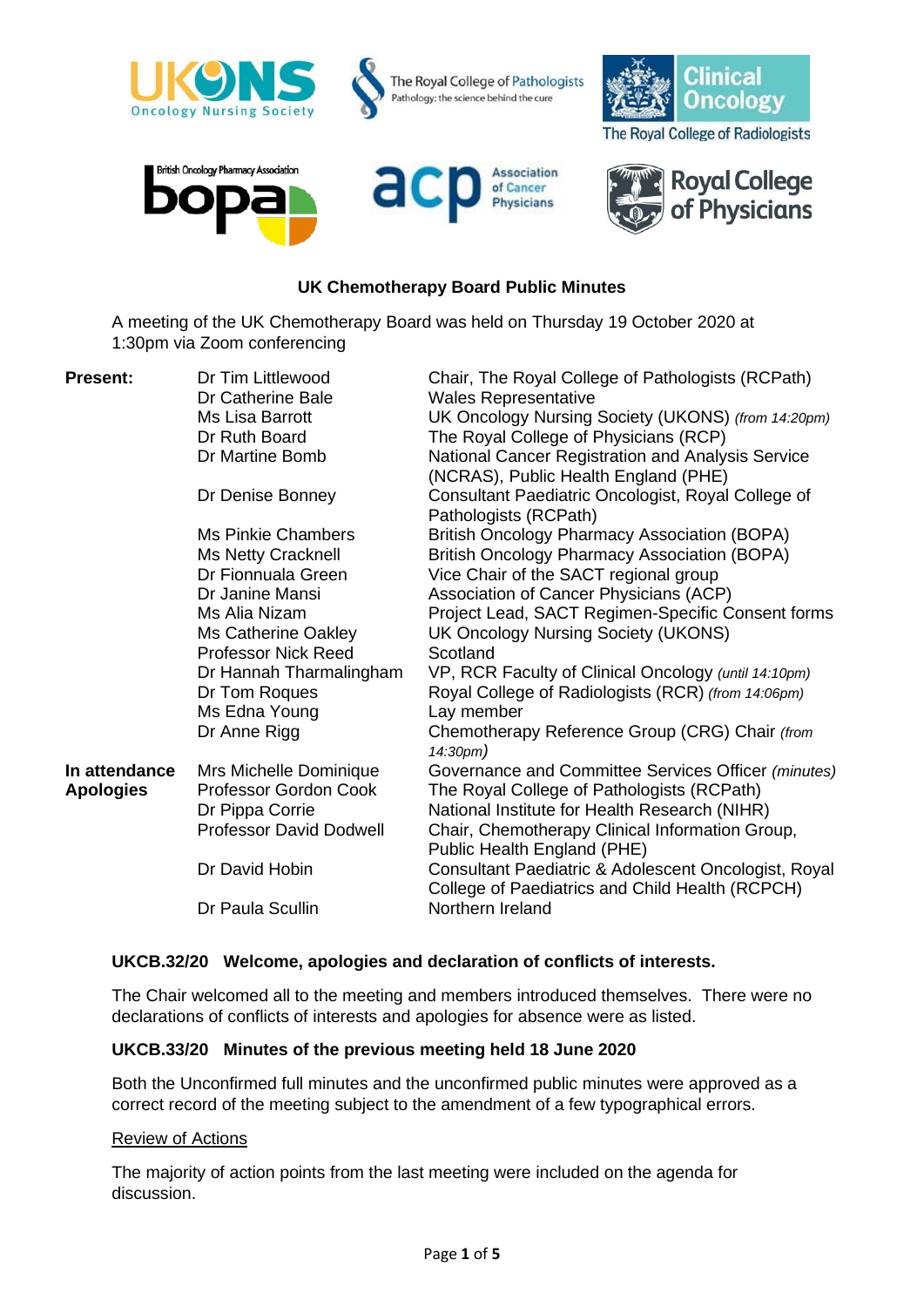

### **UK Chemotherapy Board Public Minutes**

A meeting of the UK Chemotherapy Board was held on Thursday 19 October 2020 at 1:30pm via Zoom conferencing

| <b>Present:</b>  | Dr Tim Littlewood<br>Dr Catherine Bale | Chair, The Royal College of Pathologists (RCPath)<br><b>Wales Representative</b>                        |
|------------------|----------------------------------------|---------------------------------------------------------------------------------------------------------|
|                  | Ms Lisa Barrott                        | UK Oncology Nursing Society (UKONS) (from 14:20pm)                                                      |
|                  | Dr Ruth Board                          | The Royal College of Physicians (RCP)                                                                   |
|                  | Dr Martine Bomb                        | National Cancer Registration and Analysis Service<br>(NCRAS), Public Health England (PHE)               |
|                  | Dr Denise Bonney                       | Consultant Paediatric Oncologist, Royal College of<br>Pathologists (RCPath)                             |
|                  | <b>Ms Pinkie Chambers</b>              | <b>British Oncology Pharmacy Association (BOPA)</b>                                                     |
|                  | Ms Netty Cracknell                     | <b>British Oncology Pharmacy Association (BOPA)</b>                                                     |
|                  | Dr Fionnuala Green                     | Vice Chair of the SACT regional group                                                                   |
|                  | Dr Janine Mansi                        | Association of Cancer Physicians (ACP)                                                                  |
|                  | Ms Alia Nizam                          | Project Lead, SACT Regimen-Specific Consent forms                                                       |
|                  | Ms Catherine Oakley                    | UK Oncology Nursing Society (UKONS)                                                                     |
|                  | <b>Professor Nick Reed</b>             | Scotland                                                                                                |
|                  | Dr Hannah Tharmalingham                | VP, RCR Faculty of Clinical Oncology (until 14:10pm)                                                    |
|                  | Dr Tom Roques                          | Royal College of Radiologists (RCR) (from 14:06pm)                                                      |
|                  | Ms Edna Young                          | Lay member                                                                                              |
|                  | Dr Anne Rigg                           | Chemotherapy Reference Group (CRG) Chair (from<br>14:30pm)                                              |
| In attendance    | Mrs Michelle Dominique                 | Governance and Committee Services Officer (minutes)                                                     |
| <b>Apologies</b> | Professor Gordon Cook                  | The Royal College of Pathologists (RCPath)                                                              |
|                  | Dr Pippa Corrie                        | National Institute for Health Research (NIHR)                                                           |
|                  | <b>Professor David Dodwell</b>         | Chair, Chemotherapy Clinical Information Group,<br>Public Health England (PHE)                          |
|                  | Dr David Hobin                         | Consultant Paediatric & Adolescent Oncologist, Royal<br>College of Paediatrics and Child Health (RCPCH) |
|                  | Dr Paula Scullin                       | Northern Ireland                                                                                        |

# **UKCB.32/20 Welcome, apologies and declaration of conflicts of interests.**

The Chair welcomed all to the meeting and members introduced themselves. There were no declarations of conflicts of interests and apologies for absence were as listed.

#### **UKCB.33/20 Minutes of the previous meeting held 18 June 2020**

Both the Unconfirmed full minutes and the unconfirmed public minutes were approved as a correct record of the meeting subject to the amendment of a few typographical errors.

#### Review of Actions

The majority of action points from the last meeting were included on the agenda for discussion.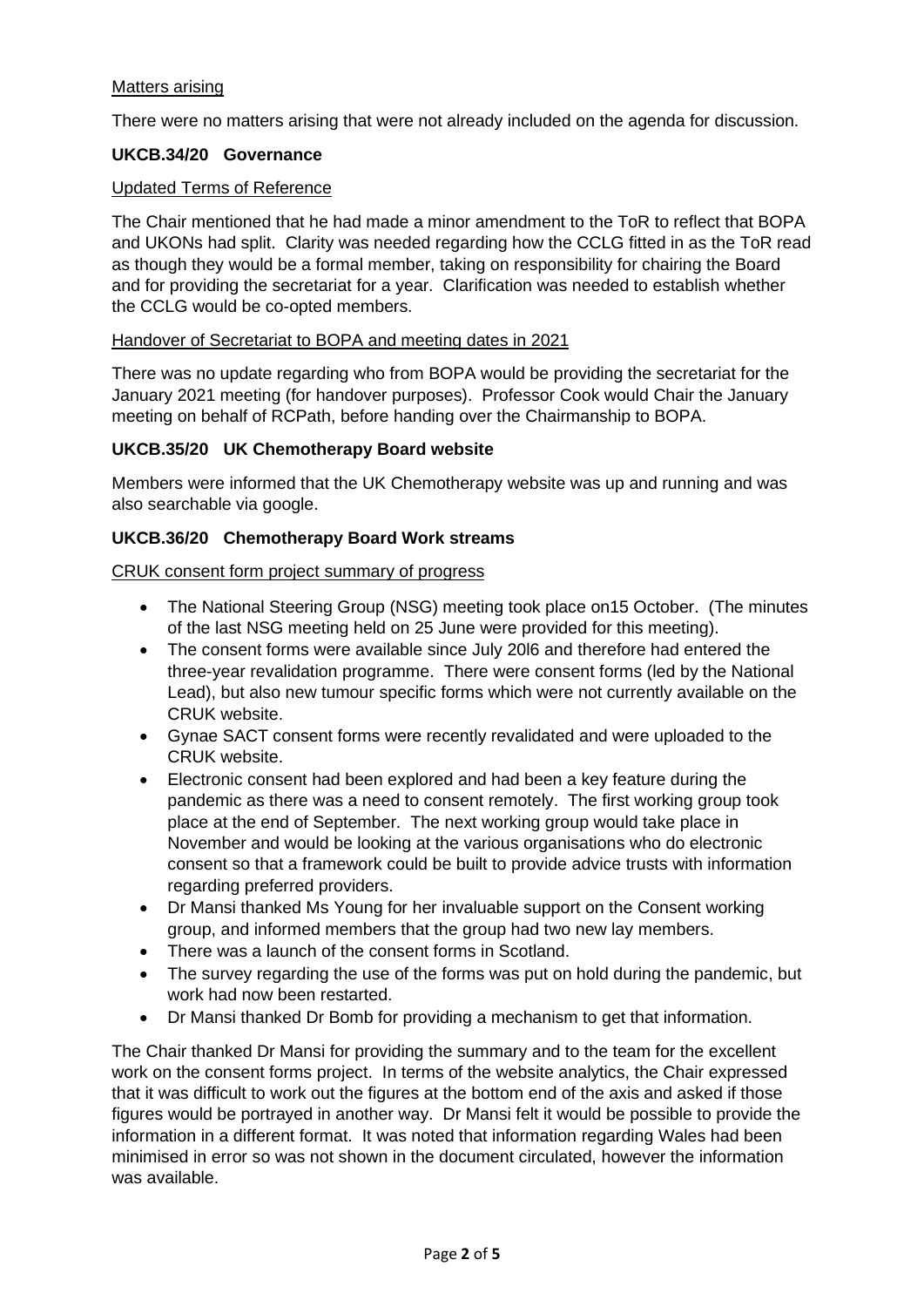# Matters arising

There were no matters arising that were not already included on the agenda for discussion.

# **UKCB.34/20 Governance**

#### Updated Terms of Reference

The Chair mentioned that he had made a minor amendment to the ToR to reflect that BOPA and UKONs had split. Clarity was needed regarding how the CCLG fitted in as the ToR read as though they would be a formal member, taking on responsibility for chairing the Board and for providing the secretariat for a year. Clarification was needed to establish whether the CCLG would be co-opted members.

### Handover of Secretariat to BOPA and meeting dates in 2021

There was no update regarding who from BOPA would be providing the secretariat for the January 2021 meeting (for handover purposes). Professor Cook would Chair the January meeting on behalf of RCPath, before handing over the Chairmanship to BOPA.

### **UKCB.35/20 UK Chemotherapy Board website**

Members were informed that the UK Chemotherapy website was up and running and was also searchable via google.

### **UKCB.36/20 Chemotherapy Board Work streams**

#### CRUK consent form project summary of progress

- The National Steering Group (NSG) meeting took place on15 October. (The minutes of the last NSG meeting held on 25 June were provided for this meeting).
- The consent forms were available since July 20l6 and therefore had entered the three-year revalidation programme. There were consent forms (led by the National Lead), but also new tumour specific forms which were not currently available on the CRUK website.
- Gynae SACT consent forms were recently revalidated and were uploaded to the CRUK website.
- Electronic consent had been explored and had been a key feature during the pandemic as there was a need to consent remotely. The first working group took place at the end of September. The next working group would take place in November and would be looking at the various organisations who do electronic consent so that a framework could be built to provide advice trusts with information regarding preferred providers.
- Dr Mansi thanked Ms Young for her invaluable support on the Consent working group, and informed members that the group had two new lay members.
- There was a launch of the consent forms in Scotland.
- The survey regarding the use of the forms was put on hold during the pandemic, but work had now been restarted.
- Dr Mansi thanked Dr Bomb for providing a mechanism to get that information.

The Chair thanked Dr Mansi for providing the summary and to the team for the excellent work on the consent forms project. In terms of the website analytics, the Chair expressed that it was difficult to work out the figures at the bottom end of the axis and asked if those figures would be portrayed in another way. Dr Mansi felt it would be possible to provide the information in a different format. It was noted that information regarding Wales had been minimised in error so was not shown in the document circulated, however the information was available.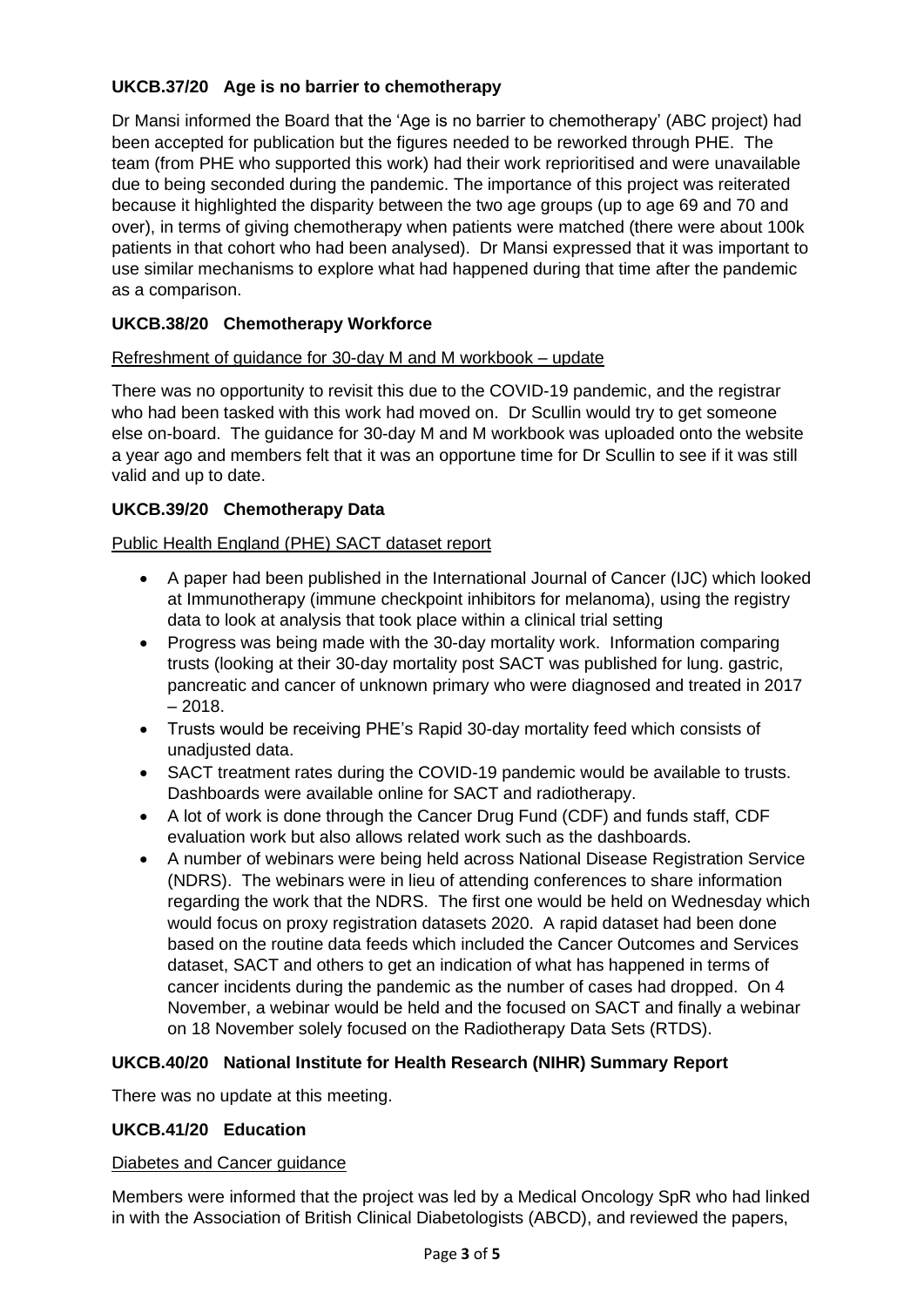# **UKCB.37/20 Age is no barrier to chemotherapy**

Dr Mansi informed the Board that the 'Age is no barrier to chemotherapy' (ABC project) had been accepted for publication but the figures needed to be reworked through PHE. The team (from PHE who supported this work) had their work reprioritised and were unavailable due to being seconded during the pandemic. The importance of this project was reiterated because it highlighted the disparity between the two age groups (up to age 69 and 70 and over), in terms of giving chemotherapy when patients were matched (there were about 100k patients in that cohort who had been analysed). Dr Mansi expressed that it was important to use similar mechanisms to explore what had happened during that time after the pandemic as a comparison.

# **UKCB.38/20 Chemotherapy Workforce**

### Refreshment of guidance for 30-day M and M workbook – update

There was no opportunity to revisit this due to the COVID-19 pandemic, and the registrar who had been tasked with this work had moved on. Dr Scullin would try to get someone else on-board. The guidance for 30-day M and M workbook was uploaded onto the website a year ago and members felt that it was an opportune time for Dr Scullin to see if it was still valid and up to date.

# **UKCB.39/20 Chemotherapy Data**

# Public Health England (PHE) SACT dataset report

- A paper had been published in the International Journal of Cancer (IJC) which looked at Immunotherapy (immune checkpoint inhibitors for melanoma), using the registry data to look at analysis that took place within a clinical trial setting
- Progress was being made with the 30-day mortality work. Information comparing trusts (looking at their 30-day mortality post SACT was published for lung. gastric, pancreatic and cancer of unknown primary who were diagnosed and treated in 2017  $-2018.$
- Trusts would be receiving PHE's Rapid 30-day mortality feed which consists of unadjusted data.
- SACT treatment rates during the COVID-19 pandemic would be available to trusts. Dashboards were available online for SACT and radiotherapy.
- A lot of work is done through the Cancer Drug Fund (CDF) and funds staff, CDF evaluation work but also allows related work such as the dashboards.
- A number of webinars were being held across National Disease Registration Service (NDRS). The webinars were in lieu of attending conferences to share information regarding the work that the NDRS. The first one would be held on Wednesday which would focus on proxy registration datasets 2020. A rapid dataset had been done based on the routine data feeds which included the Cancer Outcomes and Services dataset, SACT and others to get an indication of what has happened in terms of cancer incidents during the pandemic as the number of cases had dropped. On 4 November, a webinar would be held and the focused on SACT and finally a webinar on 18 November solely focused on the Radiotherapy Data Sets (RTDS).

### **UKCB.40/20 National Institute for Health Research (NIHR) Summary Report**

There was no update at this meeting.

# **UKCB.41/20 Education**

### Diabetes and Cancer guidance

Members were informed that the project was led by a Medical Oncology SpR who had linked in with the Association of British Clinical Diabetologists (ABCD), and reviewed the papers,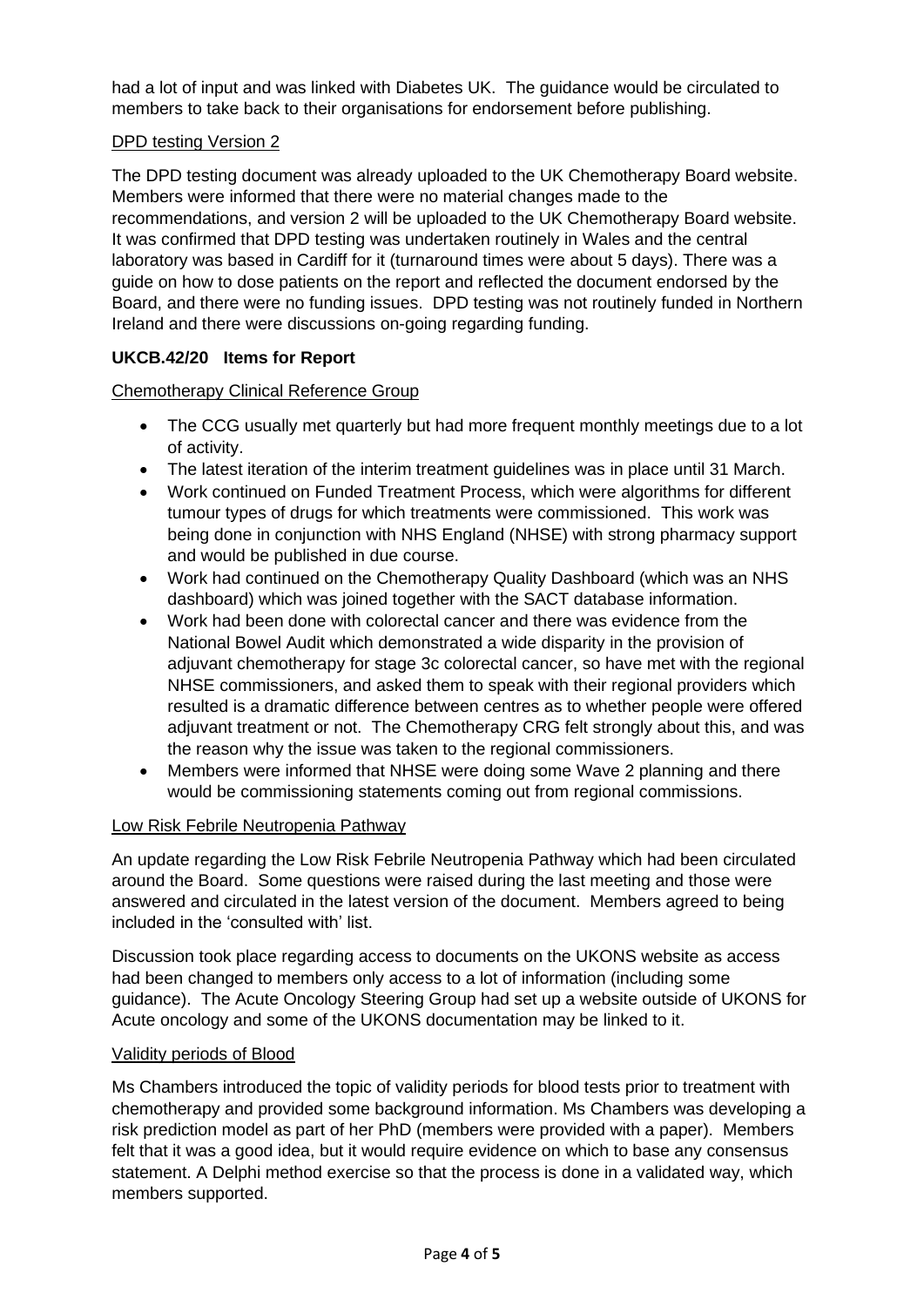had a lot of input and was linked with Diabetes UK. The guidance would be circulated to members to take back to their organisations for endorsement before publishing.

# DPD testing Version 2

The DPD testing document was already uploaded to the UK Chemotherapy Board website. Members were informed that there were no material changes made to the recommendations, and version 2 will be uploaded to the UK Chemotherapy Board website. It was confirmed that DPD testing was undertaken routinely in Wales and the central laboratory was based in Cardiff for it (turnaround times were about 5 days). There was a guide on how to dose patients on the report and reflected the document endorsed by the Board, and there were no funding issues. DPD testing was not routinely funded in Northern Ireland and there were discussions on-going regarding funding.

# **UKCB.42/20 Items for Report**

Chemotherapy Clinical Reference Group

- The CCG usually met quarterly but had more frequent monthly meetings due to a lot of activity.
- The latest iteration of the interim treatment guidelines was in place until 31 March.
- Work continued on Funded Treatment Process, which were algorithms for different tumour types of drugs for which treatments were commissioned. This work was being done in conjunction with NHS England (NHSE) with strong pharmacy support and would be published in due course.
- Work had continued on the Chemotherapy Quality Dashboard (which was an NHS dashboard) which was joined together with the SACT database information.
- Work had been done with colorectal cancer and there was evidence from the National Bowel Audit which demonstrated a wide disparity in the provision of adjuvant chemotherapy for stage 3c colorectal cancer, so have met with the regional NHSE commissioners, and asked them to speak with their regional providers which resulted is a dramatic difference between centres as to whether people were offered adjuvant treatment or not. The Chemotherapy CRG felt strongly about this, and was the reason why the issue was taken to the regional commissioners.
- Members were informed that NHSE were doing some Wave 2 planning and there would be commissioning statements coming out from regional commissions.

#### Low Risk Febrile Neutropenia Pathway

An update regarding the Low Risk Febrile Neutropenia Pathway which had been circulated around the Board. Some questions were raised during the last meeting and those were answered and circulated in the latest version of the document. Members agreed to being included in the 'consulted with' list.

Discussion took place regarding access to documents on the UKONS website as access had been changed to members only access to a lot of information (including some guidance). The Acute Oncology Steering Group had set up a website outside of UKONS for Acute oncology and some of the UKONS documentation may be linked to it.

#### Validity periods of Blood

Ms Chambers introduced the topic of validity periods for blood tests prior to treatment with chemotherapy and provided some background information. Ms Chambers was developing a risk prediction model as part of her PhD (members were provided with a paper). Members felt that it was a good idea, but it would require evidence on which to base any consensus statement. A Delphi method exercise so that the process is done in a validated way, which members supported.